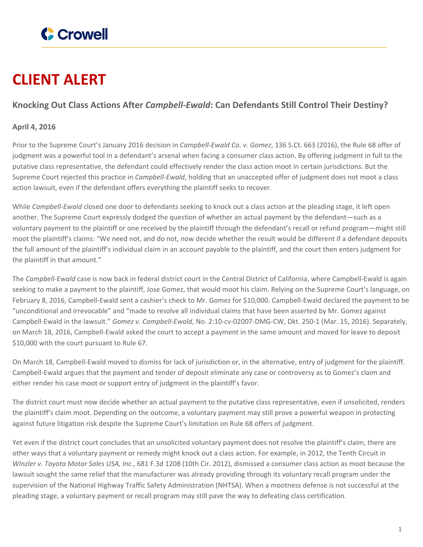

## **CLIENT ALERT**

## **Knocking Out Class Actions After** *Campbell-Ewald***: Can Defendants Still Control Their Destiny?**

## **April 4, 2016**

Prior to the Supreme Court's January 2016 decision in *Campbell-Ewald Co. v. Gomez*, 136 S.Ct. 663 (2016), the Rule 68 offer of judgment was a powerful tool in a defendant's arsenal when facing a consumer class action. By offering judgment in full to the putative class representative, the defendant could effectively render the class action moot in certain jurisdictions. But the Supreme Court rejected this practice in *Campbell-Ewald*, holding that an unaccepted offer of judgment does not moot a class action lawsuit, even if the defendant offers everything the plaintiff seeks to recover.

While *Campbell-Ewald* closed one door to defendants seeking to knock out a class action at the pleading stage, it left open another. The Supreme Court expressly dodged the question of whether an actual payment by the defendant—such as a voluntary payment to the plaintiff or one received by the plaintiff through the defendant's recall or refund program—might still moot the plaintiff's claims: "We need not, and do not, now decide whether the result would be different if a defendant deposits the full amount of the plaintiff's individual claim in an account payable to the plaintiff, and the court then enters judgment for the plaintiff in that amount."

The *Campbell-Ewald* case is now back in federal district court in the Central District of California, where Campbell-Ewald is again seeking to make a payment to the plaintiff, Jose Gomez, that would moot his claim. Relying on the Supreme Court's language, on February 8, 2016, Campbell-Ewald sent a cashier's check to Mr. Gomez for \$10,000. Campbell-Ewald declared the payment to be "unconditional and irrevocable" and "made to resolve all individual claims that have been asserted by Mr. Gomez against Campbell-Ewald in the lawsuit." *Gomez v. Campbell-Ewald*, No. 2:10-cv-02007-DMG-CW, Dkt. 250-1 (Mar. 15, 2016). Separately, on March 18, 2016, Campbell-Ewald asked the court to accept a payment in the same amount and moved for leave to deposit \$10,000 with the court pursuant to Rule 67.

On March 18, Campbell-Ewald moved to dismiss for lack of jurisdiction or, in the alternative, entry of judgment for the plaintiff. Campbell-Ewald argues that the payment and tender of deposit eliminate any case or controversy as to Gomez's claim and either render his case moot or support entry of judgment in the plaintiff's favor.

The district court must now decide whether an actual payment to the putative class representative, even if unsolicited, renders the plaintiff's claim moot. Depending on the outcome, a voluntary payment may still prove a powerful weapon in protecting against future litigation risk despite the Supreme Court's limitation on Rule 68 offers of judgment.

Yet even if the district court concludes that an unsolicited voluntary payment does not resolve the plaintiff's claim, there are other ways that a voluntary payment or remedy might knock out a class action. For example, in 2012, the Tenth Circuit in *Winzler v. Toyota Motor Sales USA, Inc.*, 681 F.3d 1208 (10th Cir. 2012), dismissed a consumer class action as moot because the lawsuit sought the same relief that the manufacturer was already providing through its voluntary recall program under the supervision of the National Highway Traffic Safety Administration (NHTSA). When a mootness defense is not successful at the pleading stage, a voluntary payment or recall program may still pave the way to defeating class certification.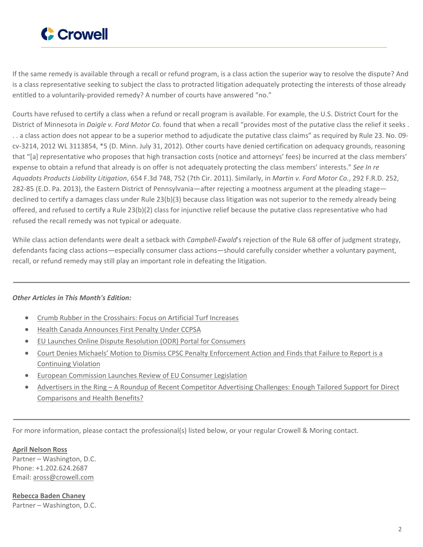

If the same remedy is available through a recall or refund program, is a class action the superior way to resolve the dispute? And is a class representative seeking to subject the class to protracted litigation adequately protecting the interests of those already entitled to a voluntarily-provided remedy? A number of courts have answered "no."

Courts have refused to certify a class when a refund or recall program is available. For example, the U.S. District Court for the District of Minnesota in *Daigle v. Ford Motor Co.* found that when a recall "provides most of the putative class the relief it seeks . . . a class action does not appear to be a superior method to adjudicate the putative class claims" as required by Rule 23. No. 09 cv-3214, 2012 WL 3113854, \*5 (D. Minn. July 31, 2012). Other courts have denied certification on adequacy grounds, reasoning that "[a] representative who proposes that high transaction costs (notice and attorneys' fees) be incurred at the class members' expense to obtain a refund that already is on offer is not adequately protecting the class members' interests." *See In re Aquadots Products Liability Litigation*, 654 F.3d 748, 752 (7th Cir. 2011). Similarly, in *Martin v. Ford Motor Co.*, 292 F.R.D. 252, 282-85 (E.D. Pa. 2013), the Eastern District of Pennsylvania—after rejecting a mootness argument at the pleading stage declined to certify a damages class under Rule 23(b)(3) because class litigation was not superior to the remedy already being offered, and refused to certify a Rule 23(b)(2) class for injunctive relief because the putative class representative who had refused the recall remedy was not typical or adequate.

While class action defendants were dealt a setback with *Campbell-Ewald*'s rejection of the Rule 68 offer of judgment strategy, defendants facing class actions—especially consumer class actions—should carefully consider whether a voluntary payment, recall, or refund remedy may still play an important role in defeating the litigation.

## *Other Articles in This Month's Edition:*

- Crumb Rubber in the [Crosshairs:](https://www.crowell.com/NewsEvents/AlertsNewsletters/All/Crumb-Rubber-in-the-Crosshairs-Focus-on-Artificial-Turf-Increases) Focus on Artificial Turf Increases
- Health Canada [Announces](https://www.crowell.com/NewsEvents/AlertsNewsletters/All/Health-Canada-Announces-First-Penalty-Under-CCPSA) First Penalty Under CCPSA
- EU Launches Online Dispute Resolution (ODR) Portal for [Consumers](https://www.crowell.com/NewsEvents/AlertsNewsletters/All/EU-Launches-Online-Dispute-Resolution-ODR-Portal-for-Consumers)
- Court Denies Michaels' Motion to Dismiss CPSC Penalty [Enforcement](https://www.crowell.com/NewsEvents/AlertsNewsletters/All/Court-Denies-Michaels-Motion-to-Dismiss-CPSC-Penalty-Enforcement-Action-and-Finds-that-Failure-to-Report-is-a-Continuing-Violation) Action and Finds that Failure to Report is a [Continuing](https://www.crowell.com/NewsEvents/AlertsNewsletters/All/Court-Denies-Michaels-Motion-to-Dismiss-CPSC-Penalty-Enforcement-Action-and-Finds-that-Failure-to-Report-is-a-Continuing-Violation) Violation
- **European [Commission](https://www.crowell.com/NewsEvents/AlertsNewsletters/All/European-Commission-Launches-Review-of-EU-Consumer-Legislation) Launches Review of EU Consumer Legislation**
- [Advertisers](https://www.crowell.com/NewsEvents/AlertsNewsletters/All/Advertisers-in-the-Ring-A-Roundup-of-Recent-Competitor-Advertising-Challenges-Enough-Tailored-Support-for-Direct-Comparisons-and-Health-Benefits) in the Ring A Roundup of Recent [Competitor](https://www.crowell.com/NewsEvents/AlertsNewsletters/All/Advertisers-in-the-Ring-A-Roundup-of-Recent-Competitor-Advertising-Challenges-Enough-Tailored-Support-for-Direct-Comparisons-and-Health-Benefits) Advertising Challenges: Enough Tailored Support for Direct [Comparisons](https://www.crowell.com/NewsEvents/AlertsNewsletters/All/Advertisers-in-the-Ring-A-Roundup-of-Recent-Competitor-Advertising-Challenges-Enough-Tailored-Support-for-Direct-Comparisons-and-Health-Benefits) and Health Benefits?

For more information, please contact the professional(s) listed below, or your regular Crowell & Moring contact.

**April [Nelson](https://www.crowell.com/professionals/April-Ross) Ross** Partner – Washington, D.C. Phone: +1.202.624.2687 Email: [aross@crowell.com](mailto:aross@crowell.com)

**[Rebecca](https://www.crowell.com/professionals/Rebecca-Baden-Chaney) Baden Chaney** Partner – Washington, D.C.